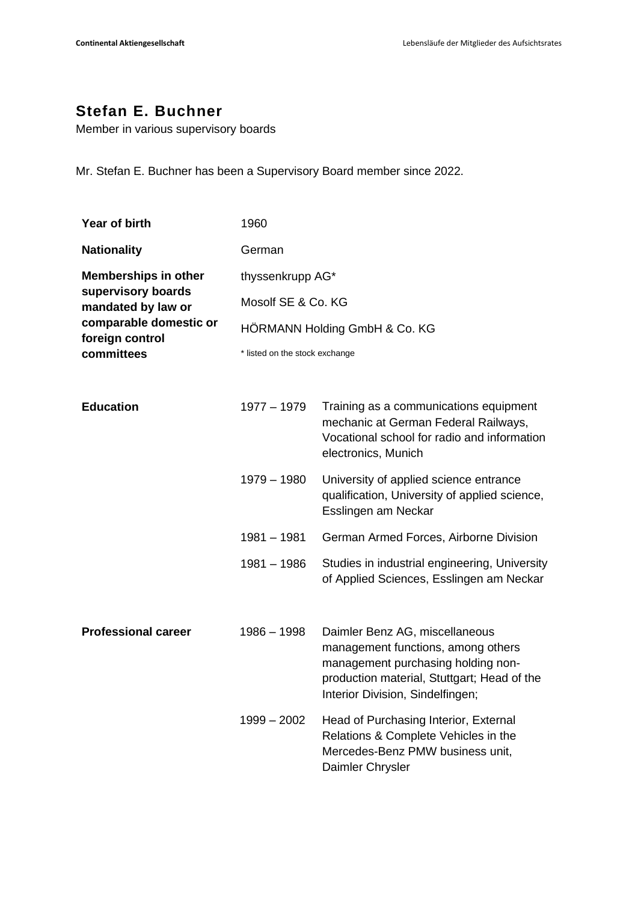## **Stefan E. Buchner**

Member in various supervisory boards

Mr. Stefan E. Buchner has been a Supervisory Board member since 2022.

| Year of birth                                                                                                                      | 1960                           |                                                                                                                                                                                               |  |
|------------------------------------------------------------------------------------------------------------------------------------|--------------------------------|-----------------------------------------------------------------------------------------------------------------------------------------------------------------------------------------------|--|
| <b>Nationality</b>                                                                                                                 | German                         |                                                                                                                                                                                               |  |
| <b>Memberships in other</b><br>supervisory boards<br>mandated by law or<br>comparable domestic or<br>foreign control<br>committees | thyssenkrupp AG*               |                                                                                                                                                                                               |  |
|                                                                                                                                    | Mosolf SE & Co. KG             |                                                                                                                                                                                               |  |
|                                                                                                                                    | HÖRMANN Holding GmbH & Co. KG  |                                                                                                                                                                                               |  |
|                                                                                                                                    | * listed on the stock exchange |                                                                                                                                                                                               |  |
| <b>Education</b>                                                                                                                   | $1977 - 1979$                  | Training as a communications equipment<br>mechanic at German Federal Railways,<br>Vocational school for radio and information<br>electronics, Munich                                          |  |
|                                                                                                                                    | 1979 - 1980                    | University of applied science entrance<br>qualification, University of applied science,<br>Esslingen am Neckar                                                                                |  |
|                                                                                                                                    | $1981 - 1981$                  | German Armed Forces, Airborne Division                                                                                                                                                        |  |
|                                                                                                                                    | $1981 - 1986$                  | Studies in industrial engineering, University<br>of Applied Sciences, Esslingen am Neckar                                                                                                     |  |
| <b>Professional career</b>                                                                                                         | $1986 - 1998$                  | Daimler Benz AG, miscellaneous<br>management functions, among others<br>management purchasing holding non-<br>production material, Stuttgart; Head of the<br>Interior Division, Sindelfingen; |  |
|                                                                                                                                    | $1999 - 2002$                  | Head of Purchasing Interior, External<br>Relations & Complete Vehicles in the<br>Mercedes-Benz PMW business unit,<br>Daimler Chrysler                                                         |  |